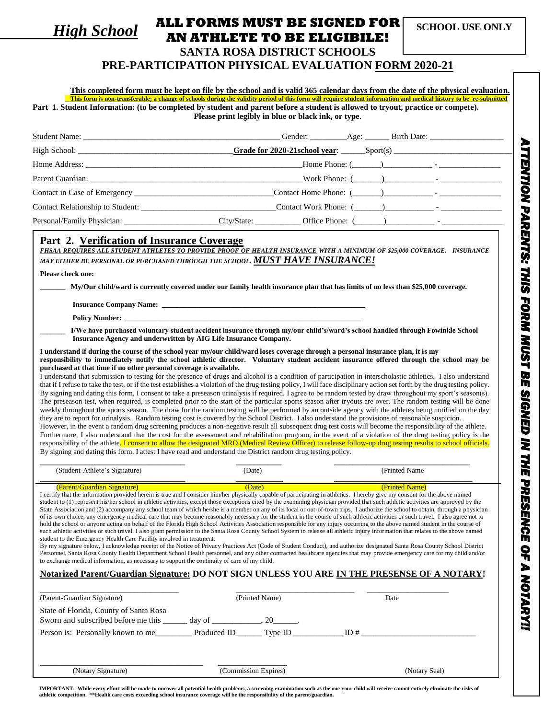*High School*

## **ALL FORMS MUST BE SIGNED FOR SCHOOL USE ONLY AN ATHLETE TO BE ELIGIBILE!**

Г

## **SANTA ROSA DISTRICT SCHOOLS**

## **PRE-PARTICIPATION PHYSICAL EVALUATION FORM 2020-21**

|                                                                                                                                                                                                     | This completed form must be kept on file by the school and is valid 365 calendar days from the date of the physical evaluation.<br>This form is non-transferable; a change of schools during the validity period of this form will require student information and medical history to be re-submitted<br>Part 1. Student Information: (to be completed by student and parent before a student is allowed to tryout, practice or compete).<br>Please print legibly in blue or black ink, or type.                                                                                                                                                                                                                                                                                                                                                                                                                                                                                                                                                                                                                                                                                                                                                                                                                                                                                                                                                                                                                                                                                                                                                                                                                                                                                                                                                                     |                |  |
|-----------------------------------------------------------------------------------------------------------------------------------------------------------------------------------------------------|----------------------------------------------------------------------------------------------------------------------------------------------------------------------------------------------------------------------------------------------------------------------------------------------------------------------------------------------------------------------------------------------------------------------------------------------------------------------------------------------------------------------------------------------------------------------------------------------------------------------------------------------------------------------------------------------------------------------------------------------------------------------------------------------------------------------------------------------------------------------------------------------------------------------------------------------------------------------------------------------------------------------------------------------------------------------------------------------------------------------------------------------------------------------------------------------------------------------------------------------------------------------------------------------------------------------------------------------------------------------------------------------------------------------------------------------------------------------------------------------------------------------------------------------------------------------------------------------------------------------------------------------------------------------------------------------------------------------------------------------------------------------------------------------------------------------------------------------------------------------|----------------|--|
|                                                                                                                                                                                                     |                                                                                                                                                                                                                                                                                                                                                                                                                                                                                                                                                                                                                                                                                                                                                                                                                                                                                                                                                                                                                                                                                                                                                                                                                                                                                                                                                                                                                                                                                                                                                                                                                                                                                                                                                                                                                                                                      |                |  |
|                                                                                                                                                                                                     |                                                                                                                                                                                                                                                                                                                                                                                                                                                                                                                                                                                                                                                                                                                                                                                                                                                                                                                                                                                                                                                                                                                                                                                                                                                                                                                                                                                                                                                                                                                                                                                                                                                                                                                                                                                                                                                                      |                |  |
|                                                                                                                                                                                                     |                                                                                                                                                                                                                                                                                                                                                                                                                                                                                                                                                                                                                                                                                                                                                                                                                                                                                                                                                                                                                                                                                                                                                                                                                                                                                                                                                                                                                                                                                                                                                                                                                                                                                                                                                                                                                                                                      |                |  |
|                                                                                                                                                                                                     |                                                                                                                                                                                                                                                                                                                                                                                                                                                                                                                                                                                                                                                                                                                                                                                                                                                                                                                                                                                                                                                                                                                                                                                                                                                                                                                                                                                                                                                                                                                                                                                                                                                                                                                                                                                                                                                                      |                |  |
|                                                                                                                                                                                                     |                                                                                                                                                                                                                                                                                                                                                                                                                                                                                                                                                                                                                                                                                                                                                                                                                                                                                                                                                                                                                                                                                                                                                                                                                                                                                                                                                                                                                                                                                                                                                                                                                                                                                                                                                                                                                                                                      |                |  |
|                                                                                                                                                                                                     |                                                                                                                                                                                                                                                                                                                                                                                                                                                                                                                                                                                                                                                                                                                                                                                                                                                                                                                                                                                                                                                                                                                                                                                                                                                                                                                                                                                                                                                                                                                                                                                                                                                                                                                                                                                                                                                                      |                |  |
|                                                                                                                                                                                                     |                                                                                                                                                                                                                                                                                                                                                                                                                                                                                                                                                                                                                                                                                                                                                                                                                                                                                                                                                                                                                                                                                                                                                                                                                                                                                                                                                                                                                                                                                                                                                                                                                                                                                                                                                                                                                                                                      |                |  |
| Please check one:<br>purchased at that time if no other personal coverage is available.                                                                                                             | MAY EITHER BE PERSONAL OR PURCHASED THROUGH THE SCHOOL. MUST HAVE INSURANCE!<br>My/Our child/ward is currently covered under our family health insurance plan that has limits of no less than \$25,000 coverage.<br>I/We have purchased voluntary student accident insurance through my/our child's/ward's school handled through Fowinkle School<br>Insurance Agency and underwritten by AIG Life Insurance Company.<br>I understand if during the course of the school year my/our child/ward loses coverage through a personal insurance plan, it is my<br>responsibility to immediately notify the school athletic director. Voluntary student accident insurance offered through the school may be<br>I understand that submission to testing for the presence of drugs and alcohol is a condition of participation in interscholastic athletics. I also understand<br>that if I refuse to take the test, or if the test establishes a violation of the drug testing policy, I will face disciplinary action set forth by the drug testing policy.<br>By signing and dating this form, I consent to take a preseason urinalysis if required. I agree to be random tested by draw throughout my sport's season(s).<br>The preseason test, when required, is completed prior to the start of the particular sports season after tryouts are over. The random testing will be done<br>weekly throughout the sports season. The draw for the random testing will be performed by an outside agency with the athletes being notified on the day<br>they are to report for urinalysis. Random testing cost is covered by the School District. I also understand the provisions of reasonable suspicion.<br>However, in the event a random drug screening produces a non-negative result all subsequent drug test costs will become the responsibility of the athlete. |                |  |
|                                                                                                                                                                                                     | Furthermore, I also understand that the cost for the assessment and rehabilitation program, in the event of a violation of the drug testing policy is the<br>responsibility of the athlete. I consent to allow the designated MRO (Medical Review Officer) to release follow-up drug testing results to school officials.<br>By signing and dating this form, I attest I have read and understand the District random drug testing policy.                                                                                                                                                                                                                                                                                                                                                                                                                                                                                                                                                                                                                                                                                                                                                                                                                                                                                                                                                                                                                                                                                                                                                                                                                                                                                                                                                                                                                           |                |  |
| (Student-Athlete's Signature)                                                                                                                                                                       | (Date)                                                                                                                                                                                                                                                                                                                                                                                                                                                                                                                                                                                                                                                                                                                                                                                                                                                                                                                                                                                                                                                                                                                                                                                                                                                                                                                                                                                                                                                                                                                                                                                                                                                                                                                                                                                                                                                               | (Printed Name) |  |
|                                                                                                                                                                                                     |                                                                                                                                                                                                                                                                                                                                                                                                                                                                                                                                                                                                                                                                                                                                                                                                                                                                                                                                                                                                                                                                                                                                                                                                                                                                                                                                                                                                                                                                                                                                                                                                                                                                                                                                                                                                                                                                      |                |  |
| (Parent/Guardian Signature)<br>student to the Emergency Health Care Facility involved in treatment.<br>to exchange medical information, as necessary to support the continuity of care of my child. | <u>(Date)</u><br>I certify that the information provided herein is true and I consider him/her physically capable of participating in athletics. I hereby give my consent for the above named<br>student to (1) represent his/her school in athletic activities, except those exceptions cited by the examining physician provided that such athletic activities are approved by the<br>State Association and (2) accompany any school team of which he/she is a member on any of its local or out-of-town trips. I authorize the school to obtain, through a physician<br>of its own choice, any emergency medical care that may become reasonably necessary for the student in the course of such athletic activities or such travel. I also agree not to<br>hold the school or anyone acting on behalf of the Florida High School Activities Association responsible for any injury occurring to the above named student in the course of<br>such athletic activities or such travel. I also grant permission to the Santa Rosa County School System to release all athletic injury information that relates to the above named<br>By my signature below, I acknowledge receipt of the Notice of Privacy Practices Act (Code of Student Conduct), and authorize designated Santa Rosa County School District<br>Personnel, Santa Rosa County Health Department School Health personnel, and any other contracted healthcare agencies that may provide emergency care for my child and/or                                                                                                                                                                                                                                                                                                                                                                          | (Printed Name) |  |
|                                                                                                                                                                                                     | Notarized Parent/Guardian Signature: DO NOT SIGN UNLESS YOU ARE IN THE PRESENSE OF A NOTARY!                                                                                                                                                                                                                                                                                                                                                                                                                                                                                                                                                                                                                                                                                                                                                                                                                                                                                                                                                                                                                                                                                                                                                                                                                                                                                                                                                                                                                                                                                                                                                                                                                                                                                                                                                                         |                |  |
| (Parent-Guardian Signature)                                                                                                                                                                         | (Printed Name)                                                                                                                                                                                                                                                                                                                                                                                                                                                                                                                                                                                                                                                                                                                                                                                                                                                                                                                                                                                                                                                                                                                                                                                                                                                                                                                                                                                                                                                                                                                                                                                                                                                                                                                                                                                                                                                       | Date           |  |
| State of Florida, County of Santa Rosa<br>Sworn and subscribed before me this ______ day of ______________, 20_______.                                                                              |                                                                                                                                                                                                                                                                                                                                                                                                                                                                                                                                                                                                                                                                                                                                                                                                                                                                                                                                                                                                                                                                                                                                                                                                                                                                                                                                                                                                                                                                                                                                                                                                                                                                                                                                                                                                                                                                      |                |  |
|                                                                                                                                                                                                     | Person is: Personally known to me_____________ Produced ID ________ Type ID ______________ ID #                                                                                                                                                                                                                                                                                                                                                                                                                                                                                                                                                                                                                                                                                                                                                                                                                                                                                                                                                                                                                                                                                                                                                                                                                                                                                                                                                                                                                                                                                                                                                                                                                                                                                                                                                                      |                |  |
|                                                                                                                                                                                                     |                                                                                                                                                                                                                                                                                                                                                                                                                                                                                                                                                                                                                                                                                                                                                                                                                                                                                                                                                                                                                                                                                                                                                                                                                                                                                                                                                                                                                                                                                                                                                                                                                                                                                                                                                                                                                                                                      |                |  |

IMPORTANT: While every effort will be made to uncover all potential health problems, a screening examination such as the one your child will receive cannot entirely eliminate the risks of<br>athletic competition. \*\*Health car